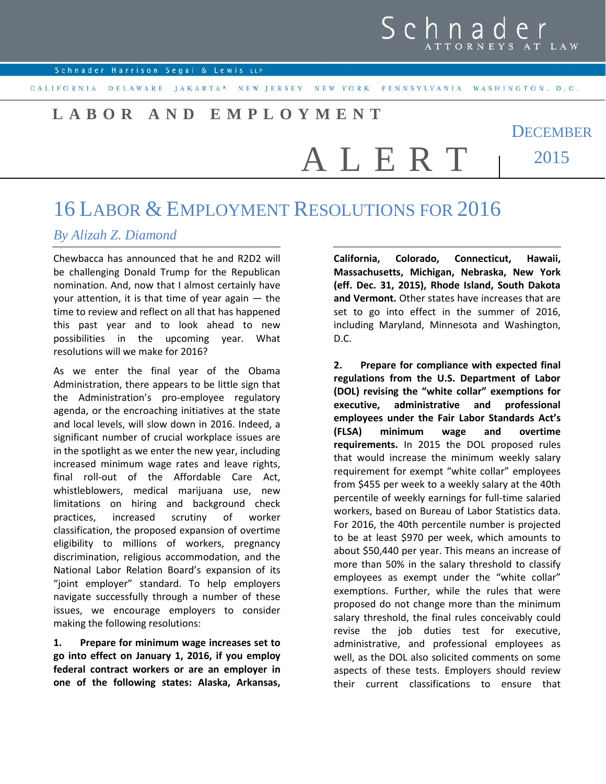## Schnad

Schnader Harrison Segal & Lewis LLP

CALIFORNIA DELAWARE JAKARTA\* NEW JERSEY NEW YORK PENNSYLVANIA WASHINGTON, D.C.

A L E R T

## **LABOR AND EMPLOYMENT**

**DECEMBER** 2015

## 16 LABOR & EMPLOYMENT RESOLUTIONS FOR 2016

## *By Alizah Z. Diamond*

Chewbacca has announced that he and R2D2 will be challenging Donald Trump for the Republican nomination. And, now that I almost certainly have your attention, it is that time of year again — the time to review and reflect on all that has happened this past year and to look ahead to new possibilities in the upcoming year. What resolutions will we make for 2016?

As we enter the final year of the Obama Administration, there appears to be little sign that the Administration's pro-employee regulatory agenda, or the encroaching initiatives at the state and local levels, will slow down in 2016. Indeed, a significant number of crucial workplace issues are in the spotlight as we enter the new year, including increased minimum wage rates and leave rights, final roll-out of the Affordable Care Act, whistleblowers, medical marijuana use, new limitations on hiring and background check practices, increased scrutiny of worker classification, the proposed expansion of overtime eligibility to millions of workers, pregnancy discrimination, religious accommodation, and the National Labor Relation Board's expansion of its "joint employer" standard. To help employers navigate successfully through a number of these issues, we encourage employers to consider making the following resolutions:

**1. Prepare for minimum wage increases set to go into effect on January 1, 2016, if you employ federal contract workers or are an employer in one of the following states: Alaska, Arkansas,**  **California, Colorado, Connecticut, Hawaii, Massachusetts, Michigan, Nebraska, New York (eff. Dec. 31, 2015), Rhode Island, South Dakota and Vermont.** Other states have increases that are set to go into effect in the summer of 2016, including Maryland, Minnesota and Washington, D.C.

**2. Prepare for compliance with expected final regulations from the U.S. Department of Labor (DOL) revising the "white collar" exemptions for executive, administrative and professional employees under the Fair Labor Standards Act's (FLSA) minimum wage and overtime requirements.** In 2015 the DOL proposed rules that would increase the minimum weekly salary requirement for exempt "white collar" employees from \$455 per week to a weekly salary at the 40th percentile of weekly earnings for full-time salaried workers, based on Bureau of Labor Statistics data. For 2016, the 40th percentile number is projected to be at least \$970 per week, which amounts to about \$50,440 per year. This means an increase of more than 50% in the salary threshold to classify employees as exempt under the "white collar" exemptions. Further, while the rules that were proposed do not change more than the minimum salary threshold, the final rules conceivably could revise the job duties test for executive, administrative, and professional employees as well, as the DOL also solicited comments on some aspects of these tests. Employers should review their current classifications to ensure that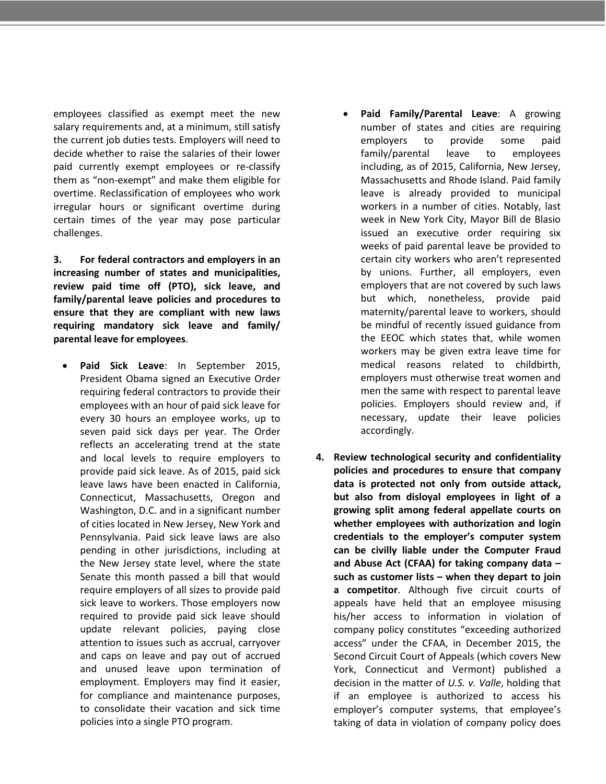employees classified as exempt meet the new salary requirements and, at a minimum, still satisfy the current job duties tests. Employers will need to decide whether to raise the salaries of their lower paid currently exempt employees or re-classify them as "non-exempt" and make them eligible for overtime. Reclassification of employees who work irregular hours or significant overtime during certain times of the year may pose particular challenges.

**3. For federal contractors and employers in an increasing number of states and municipalities, review paid time off (PTO), sick leave, and family/parental leave policies and procedures to ensure that they are compliant with new laws requiring mandatory sick leave and family/ parental leave for employees**.

- **Paid Sick Leave**: In September 2015, President Obama signed an Executive Order requiring federal contractors to provide their employees with an hour of paid sick leave for every 30 hours an employee works, up to seven paid sick days per year. The Order reflects an accelerating trend at the state and local levels to require employers to provide paid sick leave. As of 2015, paid sick leave laws have been enacted in California, Connecticut, Massachusetts, Oregon and Washington, D.C. and in a significant number of cities located in New Jersey, New York and Pennsylvania. Paid sick leave laws are also pending in other jurisdictions, including at the New Jersey state level, where the state Senate this month passed a bill that would require employers of all sizes to provide paid sick leave to workers. Those employers now required to provide paid sick leave should update relevant policies, paying close attention to issues such as accrual, carryover and caps on leave and pay out of accrued and unused leave upon termination of employment. Employers may find it easier, for compliance and maintenance purposes, to consolidate their vacation and sick time policies into a single PTO program.
- **Paid Family/Parental Leave**: A growing number of states and cities are requiring employers to provide some paid family/parental leave to employees including, as of 2015, California, New Jersey, Massachusetts and Rhode Island. Paid family leave is already provided to municipal workers in a number of cities. Notably, last week in New York City, Mayor Bill de Blasio issued an executive order requiring six weeks of paid parental leave be provided to certain city workers who aren't represented by unions. Further, all employers, even employers that are not covered by such laws but which, nonetheless, provide paid maternity/parental leave to workers, should be mindful of recently issued guidance from the EEOC which states that, while women workers may be given extra leave time for medical reasons related to childbirth, employers must otherwise treat women and men the same with respect to parental leave policies. Employers should review and, if necessary, update their leave policies accordingly.
- **4. Review technological security and confidentiality policies and procedures to ensure that company data is protected not only from outside attack, but also from disloyal employees in light of a growing split among federal appellate courts on whether employees with authorization and login credentials to the employer's computer system can be civilly liable under the Computer Fraud and Abuse Act (CFAA) for taking company data – such as customer lists – when they depart to join a competitor**. Although five circuit courts of appeals have held that an employee misusing his/her access to information in violation of company policy constitutes "exceeding authorized access" under the CFAA, in December 2015, the Second Circuit Court of Appeals (which covers New York, Connecticut and Vermont) published a decision in the matter of *U.S. v. Valle*, holding that if an employee is authorized to access his employer's computer systems, that employee's taking of data in violation of company policy does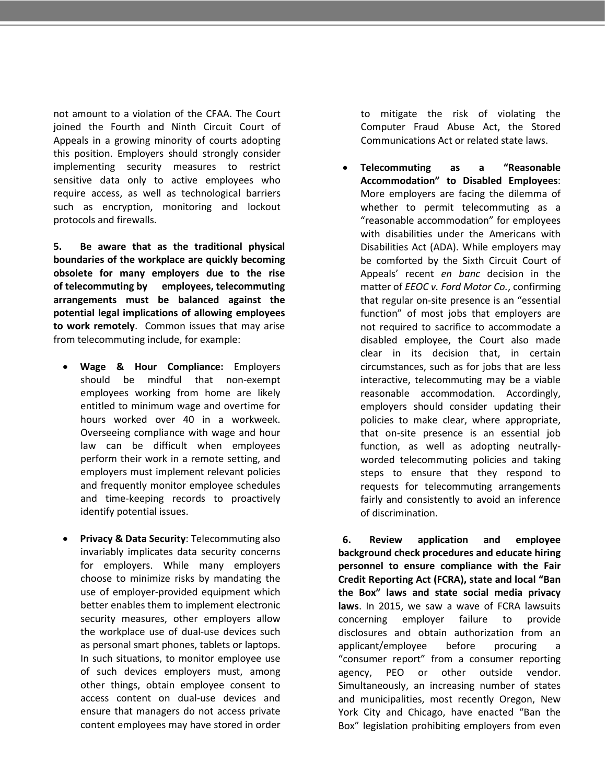not amount to a violation of the CFAA. The Court joined the Fourth and Ninth Circuit Court of Appeals in a growing minority of courts adopting this position. Employers should strongly consider implementing security measures to restrict sensitive data only to active employees who require access, as well as technological barriers such as encryption, monitoring and lockout protocols and firewalls.

**5. Be aware that as the traditional physical boundaries of the workplace are quickly becoming obsolete for many employers due to the rise of telecommuting by employees, telecommuting arrangements must be balanced against the potential legal implications of allowing employees to work remotely**. Common issues that may arise from telecommuting include, for example:

- **Wage & Hour Compliance:** Employers should be mindful that non-exempt employees working from home are likely entitled to minimum wage and overtime for hours worked over 40 in a workweek. Overseeing compliance with wage and hour law can be difficult when employees perform their work in a remote setting, and employers must implement relevant policies and frequently monitor employee schedules and time-keeping records to proactively identify potential issues.
- **Privacy & Data Security**: Telecommuting also invariably implicates data security concerns for employers. While many employers choose to minimize risks by mandating the use of employer-provided equipment which better enables them to implement electronic security measures, other employers allow the workplace use of dual-use devices such as personal smart phones, tablets or laptops. In such situations, to monitor employee use of such devices employers must, among other things, obtain employee consent to access content on dual-use devices and ensure that managers do not access private content employees may have stored in order

to mitigate the risk of violating the Computer Fraud Abuse Act, the Stored Communications Act or related state laws.

• **Telecommuting as a "Reasonable Accommodation" to Disabled Employees**: More employers are facing the dilemma of whether to permit telecommuting as a "reasonable accommodation" for employees with disabilities under the Americans with Disabilities Act (ADA). While employers may be comforted by the Sixth Circuit Court of Appeals' recent *en banc* decision in the matter of *EEOC v. Ford Motor Co.*, confirming that regular on-site presence is an "essential function" of most jobs that employers are not required to sacrifice to accommodate a disabled employee, the Court also made clear in its decision that, in certain circumstances, such as for jobs that are less interactive, telecommuting may be a viable reasonable accommodation. Accordingly, employers should consider updating their policies to make clear, where appropriate, that on-site presence is an essential job function, as well as adopting neutrallyworded telecommuting policies and taking steps to ensure that they respond to requests for telecommuting arrangements fairly and consistently to avoid an inference of discrimination.

**6. Review application and employee background check procedures and educate hiring personnel to ensure compliance with the Fair Credit Reporting Act (FCRA), state and local "Ban the Box" laws and state social media privacy laws**. In 2015, we saw a wave of FCRA lawsuits concerning employer failure to provide disclosures and obtain authorization from an applicant/employee before procuring a "consumer report" from a consumer reporting agency, PEO or other outside vendor. Simultaneously, an increasing number of states and municipalities, most recently Oregon, New York City and Chicago, have enacted "Ban the Box" legislation prohibiting employers from even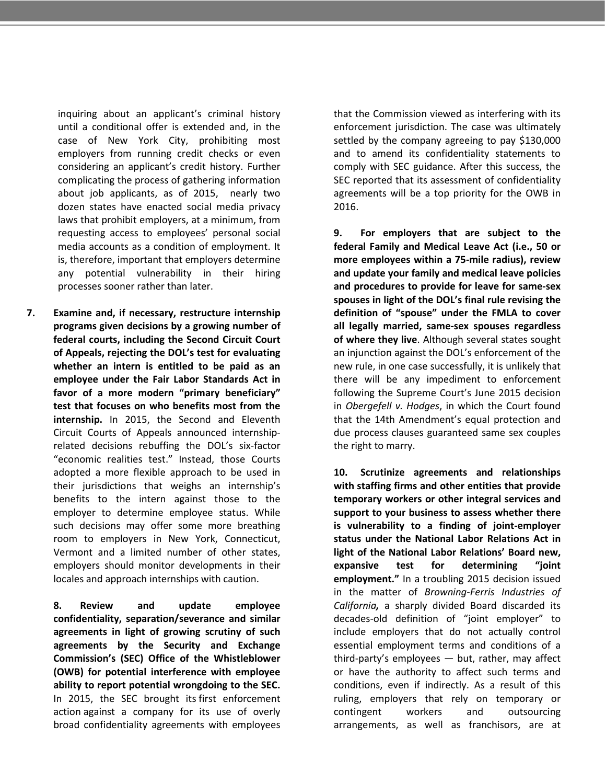inquiring about an applicant's criminal history until a conditional offer is extended and, in the case of New York City, prohibiting most employers from running credit checks or even considering an applicant's credit history. Further complicating the process of gathering information about job applicants, as of 2015, nearly two dozen states have enacted social media privacy laws that prohibit employers, at a minimum, from requesting access to employees' personal social media accounts as a condition of employment. It is, therefore, important that employers determine any potential vulnerability in their hiring processes sooner rather than later.

**7. Examine and, if necessary, restructure internship programs given decisions by a growing number of federal courts, including the Second Circuit Court of Appeals, rejecting the DOL's test for evaluating whether an intern is entitled to be paid as an employee under the Fair Labor Standards Act in favor of a more modern "primary beneficiary" test that focuses on who benefits most from the internship.** In 2015, the Second and Eleventh Circuit Courts of Appeals announced internshiprelated decisions rebuffing the DOL's six-factor "economic realities test." Instead, those Courts adopted a more flexible approach to be used in their jurisdictions that weighs an internship's benefits to the intern against those to the employer to determine employee status. While such decisions may offer some more breathing room to employers in New York, Connecticut, Vermont and a limited number of other states, employers should monitor developments in their locales and approach internships with caution.

> **8. Review and update employee confidentiality, separation/severance and similar agreements in light of growing scrutiny of such agreements by the Security and Exchange Commission's (SEC) Office of the Whistleblower (OWB) for potential interference with employee ability to report potential wrongdoing to the SEC.** In 2015, the SEC brought its first enforcement action against a company for its use of overly broad confidentiality agreements with employees

that the Commission viewed as interfering with its enforcement jurisdiction. The case was ultimately settled by the company agreeing to pay \$130,000 and to amend its confidentiality statements to comply with SEC guidance. After this success, the SEC reported that its assessment of confidentiality agreements will be a top priority for the OWB in 2016.

**9. For employers that are subject to the federal Family and Medical Leave Act (i.e., 50 or more employees within a 75-mile radius), review and update your family and medical leave policies and procedures to provide for leave for same-sex spouses in light of the DOL's final rule revising the definition of "spouse" under the FMLA to cover all legally married, same-sex spouses regardless of where they live**. Although several states sought an injunction against the DOL's enforcement of the new rule, in one case successfully, it is unlikely that there will be any impediment to enforcement following the Supreme Court's June 2015 decision in *Obergefell v. Hodges*, in which the Court found that the 14th Amendment's equal protection and due process clauses guaranteed same sex couples the right to marry.

**10. Scrutinize agreements and relationships with staffing firms and other entities that provide temporary workers or other integral services and support to your business to assess whether there is vulnerability to a finding of joint-employer status under the National Labor Relations Act in light of the National Labor Relations' Board new, expansive test for determining "joint employment."** In a troubling 2015 decision issued in the matter of *Browning-Ferris Industries of California,* a sharply divided Board discarded its decades-old definition of "joint employer" to include employers that do not actually control essential employment terms and conditions of a third-party's employees — but, rather, may affect or have the authority to affect such terms and conditions, even if indirectly. As a result of this ruling, employers that rely on temporary or contingent workers and outsourcing arrangements, as well as franchisors, are at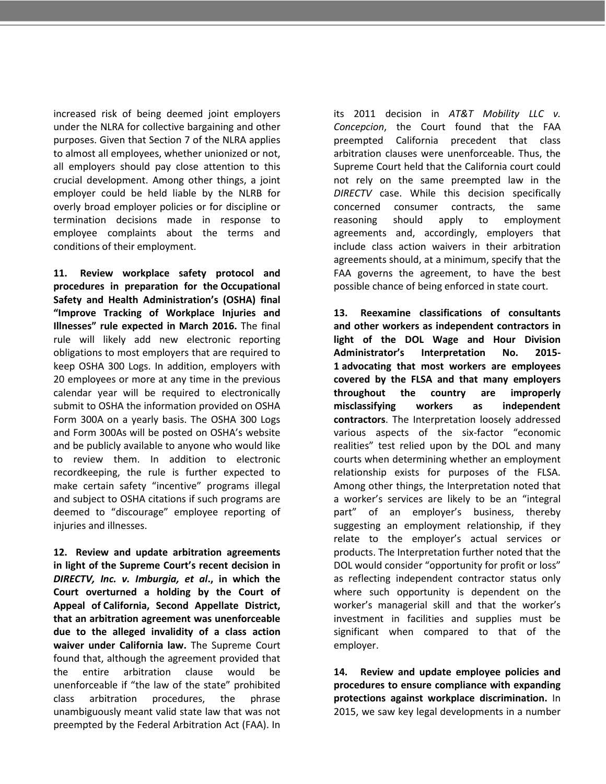increased risk of being deemed joint employers under the NLRA for collective bargaining and other purposes. Given that Section 7 of the NLRA applies to almost all employees, whether unionized or not, all employers should pay close attention to this crucial development. Among other things, a joint employer could be held liable by the NLRB for overly broad employer policies or for discipline or termination decisions made in response to employee complaints about the terms and conditions of their employment.

**11. Review workplace safety protocol and procedures in preparation for the Occupational Safety and Health Administration's (OSHA) final "Improve Tracking of Workplace Injuries and Illnesses" rule expected in March 2016.** The final rule will likely add new electronic reporting obligations to most employers that are required to keep OSHA 300 Logs. In addition, employers with 20 employees or more at any time in the previous calendar year will be required to electronically submit to OSHA the information provided on OSHA Form 300A on a yearly basis. The OSHA 300 Logs and Form 300As will be posted on OSHA's website and be publicly available to anyone who would like to review them. In addition to electronic recordkeeping, the rule is further expected to make certain safety "incentive" programs illegal and subject to OSHA citations if such programs are deemed to "discourage" employee reporting of injuries and illnesses.

**12. Review and update arbitration agreements in light of the Supreme Court's recent decision in**  *DIRECTV, Inc. v. Imburgia, et al***., in which the Court overturned a holding by the Court of Appeal of California, Second Appellate District, that an arbitration agreement was unenforceable due to the alleged invalidity of a class action waiver under California law.** The Supreme Court found that, although the agreement provided that the entire arbitration clause would be unenforceable if "the law of the state" prohibited class arbitration procedures, the phrase unambiguously meant valid state law that was not preempted by the Federal Arbitration Act (FAA). In its 2011 decision in *AT&T Mobility LLC v. Concepcion*, the Court found that the FAA preempted California precedent that class arbitration clauses were unenforceable. Thus, the Supreme Court held that the California court could not rely on the same preempted law in the *DIRECTV* case. While this decision specifically concerned consumer contracts, the same reasoning should apply to employment agreements and, accordingly, employers that include class action waivers in their arbitration agreements should, at a minimum, specify that the FAA governs the agreement, to have the best possible chance of being enforced in state court.

**13. Reexamine classifications of consultants and other workers as independent contractors in light of the DOL Wage and Hour Division Administrator's Interpretation No. 2015- 1 advocating that most workers are employees covered by the FLSA and that many employers throughout the country are improperly misclassifying workers as independent contractors**. The Interpretation loosely addressed various aspects of the six-factor "economic realities" test relied upon by the DOL and many courts when determining whether an employment relationship exists for purposes of the FLSA. Among other things, the Interpretation noted that a worker's services are likely to be an "integral part" of an employer's business, thereby suggesting an employment relationship, if they relate to the employer's actual services or products. The Interpretation further noted that the DOL would consider "opportunity for profit or loss" as reflecting independent contractor status only where such opportunity is dependent on the worker's managerial skill and that the worker's investment in facilities and supplies must be significant when compared to that of the employer.

**14. Review and update employee policies and procedures to ensure compliance with expanding protections against workplace discrimination.** In 2015, we saw key legal developments in a number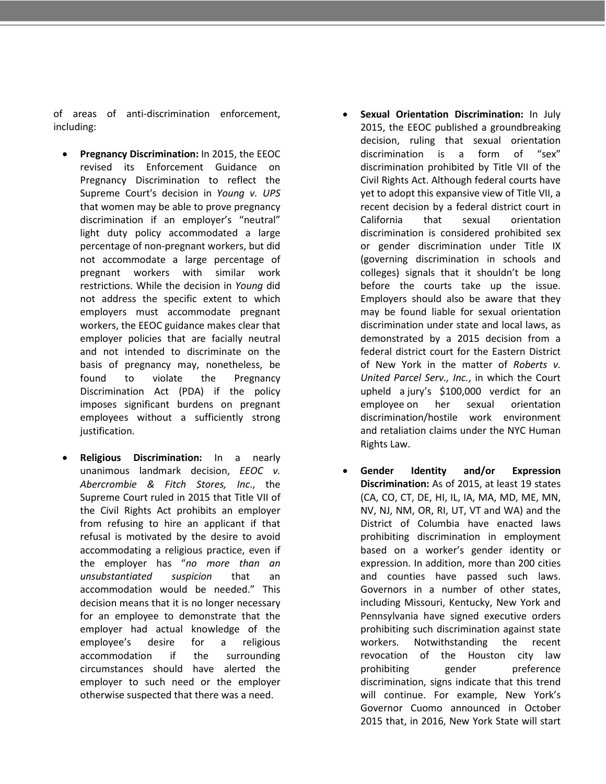of areas of anti-discrimination enforcement, including:

- **Pregnancy Discrimination:** In 2015, the EEOC revised its Enforcement Guidance on Pregnancy Discrimination to reflect the Supreme Court's decision in *Young v. UPS* that women may be able to prove pregnancy discrimination if an employer's "neutral" light duty policy accommodated a large percentage of non-pregnant workers, but did not accommodate a large percentage of pregnant workers with similar work restrictions. While the decision in *Young* did not address the specific extent to which employers must accommodate pregnant workers, the EEOC guidance makes clear that employer policies that are facially neutral and not intended to discriminate on the basis of pregnancy may, nonetheless, be found to violate the Pregnancy Discrimination Act (PDA) if the policy imposes significant burdens on pregnant employees without a sufficiently strong justification.
- **Religious Discrimination:** In a nearly unanimous landmark decision, *EEOC v. Abercrombie & Fitch Stores, Inc*., the Supreme Court ruled in 2015 that Title VII of the Civil Rights Act prohibits an employer from refusing to hire an applicant if that refusal is motivated by the desire to avoid accommodating a religious practice, even if the employer has "*no more than an unsubstantiated suspicion* that an accommodation would be needed." This decision means that it is no longer necessary for an employee to demonstrate that the employer had actual knowledge of the employee's desire for a religious accommodation if the surrounding circumstances should have alerted the employer to such need or the employer otherwise suspected that there was a need.
- **Sexual Orientation Discrimination:** In July 2015, the EEOC published a groundbreaking decision, ruling that sexual orientation discrimination is a form of "sex" discrimination prohibited by Title VII of the Civil Rights Act. Although federal courts have yet to adopt this expansive view of Title VII, a recent decision by a federal district court in California that sexual orientation discrimination is considered prohibited sex or gender discrimination under Title IX (governing discrimination in schools and colleges) signals that it shouldn't be long before the courts take up the issue. Employers should also be aware that they may be found liable for sexual orientation discrimination under state and local laws, as demonstrated by a 2015 decision from a federal district court for the Eastern District of New York in the matter of *Roberts v. United Parcel Serv., Inc.*, in which the Court upheld a jury's \$100,000 verdict for an employee on her sexual orientation discrimination/hostile work environment and retaliation claims under the NYC Human Rights Law.
- **Gender Identity and/or Expression Discrimination:** As of 2015, at least 19 states (CA, CO, CT, DE, HI, IL, IA, MA, MD, ME, MN, NV, NJ, NM, OR, RI, UT, VT and WA) and the District of Columbia have enacted laws prohibiting discrimination in employment based on a worker's gender identity or expression. In addition, more than 200 cities and counties have passed such laws. Governors in a number of other states, including Missouri, Kentucky, New York and Pennsylvania have signed executive orders prohibiting such discrimination against state workers. Notwithstanding the recent revocation of the Houston city law prohibiting gender preference discrimination, signs indicate that this trend will continue. For example, New York's Governor Cuomo announced in October 2015 that, in 2016, New York State will start